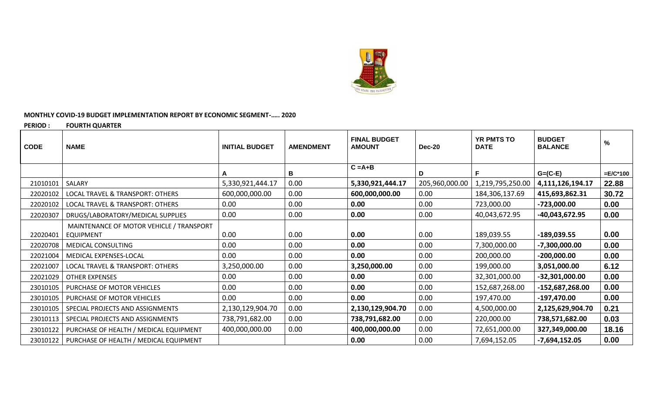

## **MONTHLY COVID-19 BUDGET IMPLEMENTATION REPORT BY ECONOMIC SEGMENT-….. 2020**

**PERIOD : FOURTH QUARTER**

| <b>CODE</b> | <b>NAME</b>                                                  | <b>INITIAL BUDGET</b> | <b>AMENDMENT</b> | <b>FINAL BUDGET</b><br><b>AMOUNT</b> | <b>Dec-20</b>  | <b>YR PMTS TO</b><br><b>DATE</b> | <b>BUDGET</b><br><b>BALANCE</b> | $\%$       |
|-------------|--------------------------------------------------------------|-----------------------|------------------|--------------------------------------|----------------|----------------------------------|---------------------------------|------------|
|             |                                                              |                       | В                | $C = A + B$                          | D              | F                                | $G=(C-E)$                       | $=E/C*100$ |
| 21010101    | SALARY                                                       | 5,330,921,444.17      | 0.00             | 5,330,921,444.17                     | 205,960,000.00 | 1,219,795,250.00                 | 4, 111, 126, 194. 17            | 22.88      |
| 22020102    | LOCAL TRAVEL & TRANSPORT: OTHERS                             | 600,000,000.00        | 0.00             | 600,000,000.00                       | 0.00           | 184,306,137.69                   | 415,693,862.31                  | 30.72      |
| 22020102    | LOCAL TRAVEL & TRANSPORT: OTHERS                             | 0.00                  | 0.00             | 0.00                                 | 0.00           | 723,000.00                       | -723,000.00                     | 0.00       |
| 22020307    | DRUGS/LABORATORY/MEDICAL SUPPLIES                            | 0.00                  | 0.00             | 0.00                                 | 0.00           | 40,043,672.95                    | -40,043,672.95                  | 0.00       |
| 22020401    | MAINTENANCE OF MOTOR VEHICLE / TRANSPORT<br><b>EQUIPMENT</b> | 0.00                  | 0.00             | 0.00                                 | 0.00           | 189,039.55                       | -189,039.55                     | 0.00       |
| 22020708    | MEDICAL CONSULTING                                           | 0.00                  | 0.00             | 0.00                                 | 0.00           | 7,300,000.00                     | -7,300,000.00                   | 0.00       |
| 22021004    | MEDICAL EXPENSES-LOCAL                                       | 0.00                  | 0.00             | 0.00                                 | 0.00           | 200,000.00                       | -200,000.00                     | 0.00       |
| 22021007    | LOCAL TRAVEL & TRANSPORT: OTHERS                             | 3,250,000.00          | 0.00             | 3,250,000.00                         | 0.00           | 199,000.00                       | 3,051,000.00                    | 6.12       |
| 22021029    | OTHER EXPENSES                                               | 0.00                  | 0.00             | 0.00                                 | 0.00           | 32,301,000.00                    | $-32,301,000.00$                | 0.00       |
| 23010105    | PURCHASE OF MOTOR VEHICLES                                   | 0.00                  | 0.00             | 0.00                                 | 0.00           | 152,687,268.00                   | -152,687,268.00                 | 0.00       |
| 23010105    | PURCHASE OF MOTOR VEHICLES                                   | 0.00                  | 0.00             | 0.00                                 | 0.00           | 197,470.00                       | -197,470.00                     | 0.00       |
| 23010105    | SPECIAL PROJECTS AND ASSIGNMENTS                             | 2,130,129,904.70      | 0.00             | 2,130,129,904.70                     | 0.00           | 4,500,000.00                     | 2,125,629,904.70                | 0.21       |
| 23010113    | SPECIAL PROJECTS AND ASSIGNMENTS                             | 738,791,682.00        | 0.00             | 738,791,682.00                       | 0.00           | 220,000.00                       | 738,571,682.00                  | 0.03       |
| 23010122    | PURCHASE OF HEALTH / MEDICAL EQUIPMENT                       | 400,000,000.00        | 0.00             | 400,000,000.00                       | 0.00           | 72,651,000.00                    | 327,349,000.00                  | 18.16      |
| 23010122    | PURCHASE OF HEALTH / MEDICAL EQUIPMENT                       |                       |                  | 0.00                                 | 0.00           | 7,694,152.05                     | $-7,694,152.05$                 | 0.00       |